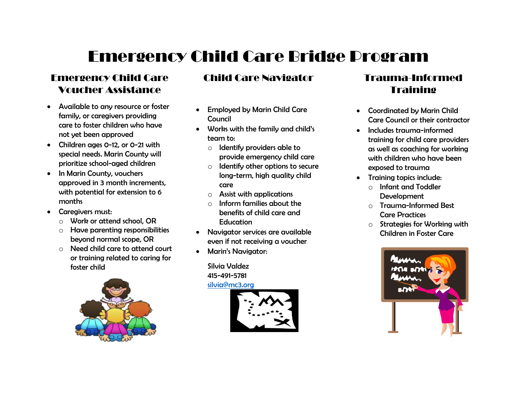## Emergency Child Care Bridge Program

#### Emergency Child Care Voucher Assistance

- Available to any resource or foster family, or caregivers providing care to foster children who have not yet been approved
- Children ages 0-12, or 0-21 with special needs. Marin County will prioritize school-aged children
- In Marin County, vouchers approved in 3 month increments, with potential for extension to 6 months
- Caregivers must:
	- o Work or attend school, OR
	- o Have parenting responsibilities beyond normal scope, OR
	- o Need child care to attend court or training related to caring for foster child



#### Child Care Navigator

- Employed by Marin Child Care **Council**
- Works with the family and child's team to:
	- o Identify providers able to provide emergency child care
	- $\circ$  Identify other options to secure long-term, high quality child care
	- o Assist with applications
	- o Inform families about the benefits of child care and **Education**
- Navigator services are available even if not receiving a voucher
- Marin's Navigator:

Silvia Valdez 415-491-5781 [silvia@mc3.org](mailto:silvia@mc3.org)



### Trauma-Informed **Training**

- Coordinated by Marin Child Care Council or their contractor
- Includes trauma-informed training for child care providers as well as coaching for working with children who have been exposed to trauma
- Training topics include:
	- o Infant and Toddler Development
	- o Trauma-Informed Best Care Practices
	- o Strategies for Working with Children in Foster Care